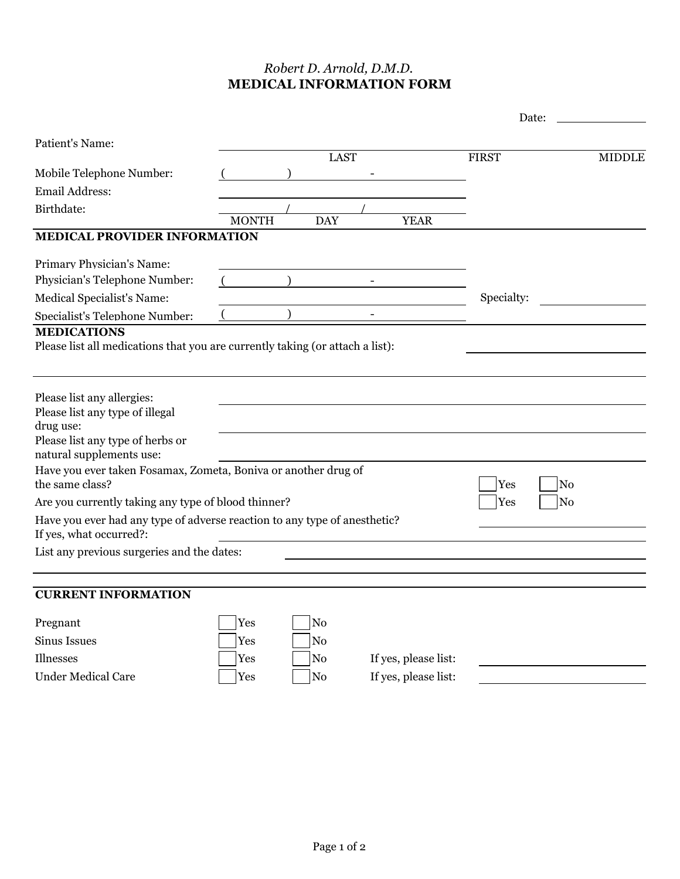## *Robert D. Arnold, D.M.D.* **MEDICAL INFORMATION FORM**

|                                                                                                      |              |                |                              |                      |              | Date:          |               |
|------------------------------------------------------------------------------------------------------|--------------|----------------|------------------------------|----------------------|--------------|----------------|---------------|
| Patient's Name:                                                                                      |              |                | <b>LAST</b>                  |                      | <b>FIRST</b> |                | <b>MIDDLE</b> |
| Mobile Telephone Number:                                                                             |              |                |                              |                      |              |                |               |
| Email Address:                                                                                       |              |                |                              |                      |              |                |               |
| Birthdate:                                                                                           |              |                |                              |                      |              |                |               |
|                                                                                                      | <b>MONTH</b> | <b>DAY</b>     |                              | <b>YEAR</b>          |              |                |               |
| <b>MEDICAL PROVIDER INFORMATION</b>                                                                  |              |                |                              |                      |              |                |               |
| Primary Physician's Name:                                                                            |              |                |                              |                      |              |                |               |
| Physician's Telephone Number:                                                                        |              |                |                              |                      |              |                |               |
| Medical Specialist's Name:                                                                           |              |                |                              |                      | Specialty:   |                |               |
| Specialist's Telephone Number:                                                                       |              |                | $\qquad \qquad \blacksquare$ |                      |              |                |               |
| <b>MEDICATIONS</b>                                                                                   |              |                |                              |                      |              |                |               |
| Please list all medications that you are currently taking (or attach a list):                        |              |                |                              |                      |              |                |               |
|                                                                                                      |              |                |                              |                      |              |                |               |
| Please list any allergies:                                                                           |              |                |                              |                      |              |                |               |
| Please list any type of illegal                                                                      |              |                |                              |                      |              |                |               |
| drug use:                                                                                            |              |                |                              |                      |              |                |               |
| Please list any type of herbs or<br>natural supplements use:                                         |              |                |                              |                      |              |                |               |
| Have you ever taken Fosamax, Zometa, Boniva or another drug of                                       |              |                |                              |                      |              |                |               |
| the same class?                                                                                      |              |                |                              |                      | Yes          | N <sub>o</sub> |               |
| Are you currently taking any type of blood thinner?                                                  |              |                |                              |                      | Yes          | N <sub>0</sub> |               |
| Have you ever had any type of adverse reaction to any type of anesthetic?<br>If yes, what occurred?: |              |                |                              |                      |              |                |               |
| List any previous surgeries and the dates:                                                           |              |                |                              |                      |              |                |               |
|                                                                                                      |              |                |                              |                      |              |                |               |
| <b>CURRENT INFORMATION</b>                                                                           |              |                |                              |                      |              |                |               |
| Pregnant                                                                                             | Yes          | No             |                              |                      |              |                |               |
| Sinus Issues                                                                                         | Yes          | No             |                              |                      |              |                |               |
|                                                                                                      |              |                |                              |                      |              |                |               |
| Illnesses                                                                                            | Yes          | N <sub>0</sub> |                              | If yes, please list: |              |                |               |
| <b>Under Medical Care</b>                                                                            | Yes          | No             |                              | If yes, please list: |              |                |               |